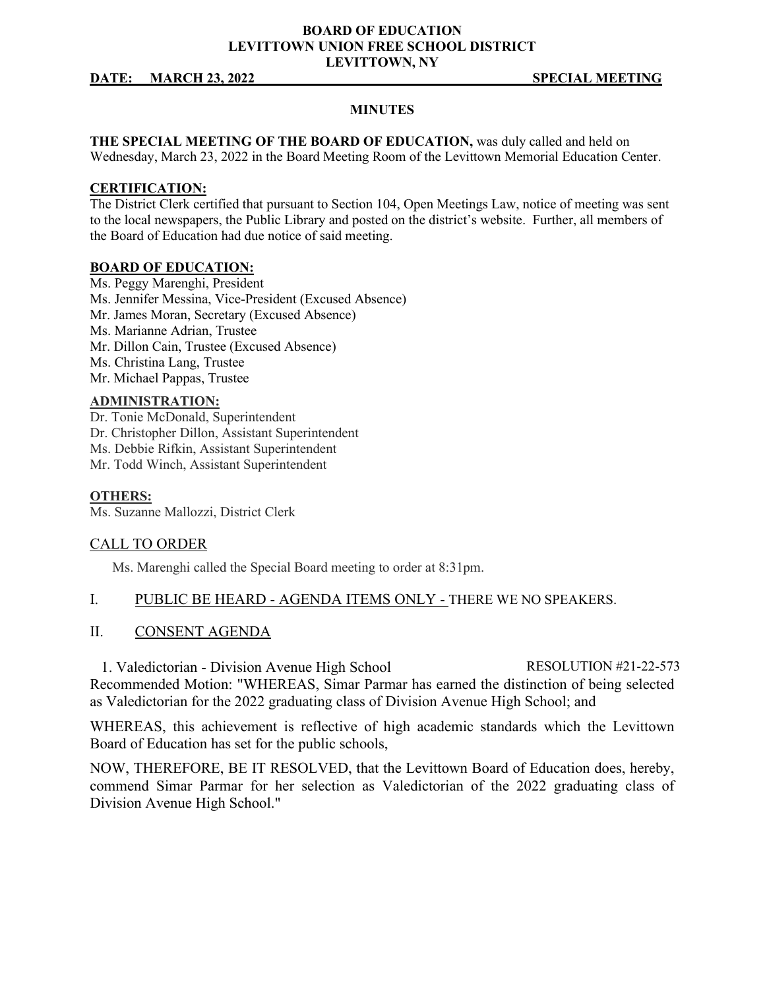### **BOARD OF EDUCATION LEVITTOWN UNION FREE SCHOOL DISTRICT LEVITTOWN, NY**

#### **DATE:** MARCH 23, 2022 SPECIAL MEETING

#### **MINUTES**

**THE SPECIAL MEETING OF THE BOARD OF EDUCATION,** was duly called and held on Wednesday, March 23, 2022 in the Board Meeting Room of the Levittown Memorial Education Center.

#### **CERTIFICATION:**

The District Clerk certified that pursuant to Section 104, Open Meetings Law, notice of meeting was sent to the local newspapers, the Public Library and posted on the district's website. Further, all members of the Board of Education had due notice of said meeting.

#### **BOARD OF EDUCATION:**

Ms. Peggy Marenghi, President Ms. Jennifer Messina, Vice-President (Excused Absence) Mr. James Moran, Secretary (Excused Absence) Ms. Marianne Adrian, Trustee Mr. Dillon Cain, Trustee (Excused Absence) Ms. Christina Lang, Trustee Mr. Michael Pappas, Trustee

### **ADMINISTRATION:**

Dr. Tonie McDonald, Superintendent Dr. Christopher Dillon, Assistant Superintendent Ms. Debbie Rifkin, Assistant Superintendent Mr. Todd Winch, Assistant Superintendent

#### **OTHERS:**

Ms. Suzanne Mallozzi, District Clerk

#### CALL TO ORDER

Ms. Marenghi called the Special Board meeting to order at 8:31pm.

### I. PUBLIC BE HEARD - AGENDA ITEMS ONLY - THERE WE NO SPEAKERS.

#### II. CONSENT AGENDA

1. Valedictorian - Division Avenue High School RESOLUTION #21-22-573 Recommended Motion: "WHEREAS, Simar Parmar has earned the distinction of being selected as Valedictorian for the 2022 graduating class of Division Avenue High School; and

WHEREAS, this achievement is reflective of high academic standards which the Levittown Board of Education has set for the public schools,

NOW, THEREFORE, BE IT RESOLVED, that the Levittown Board of Education does, hereby, commend Simar Parmar for her selection as Valedictorian of the 2022 graduating class of Division Avenue High School."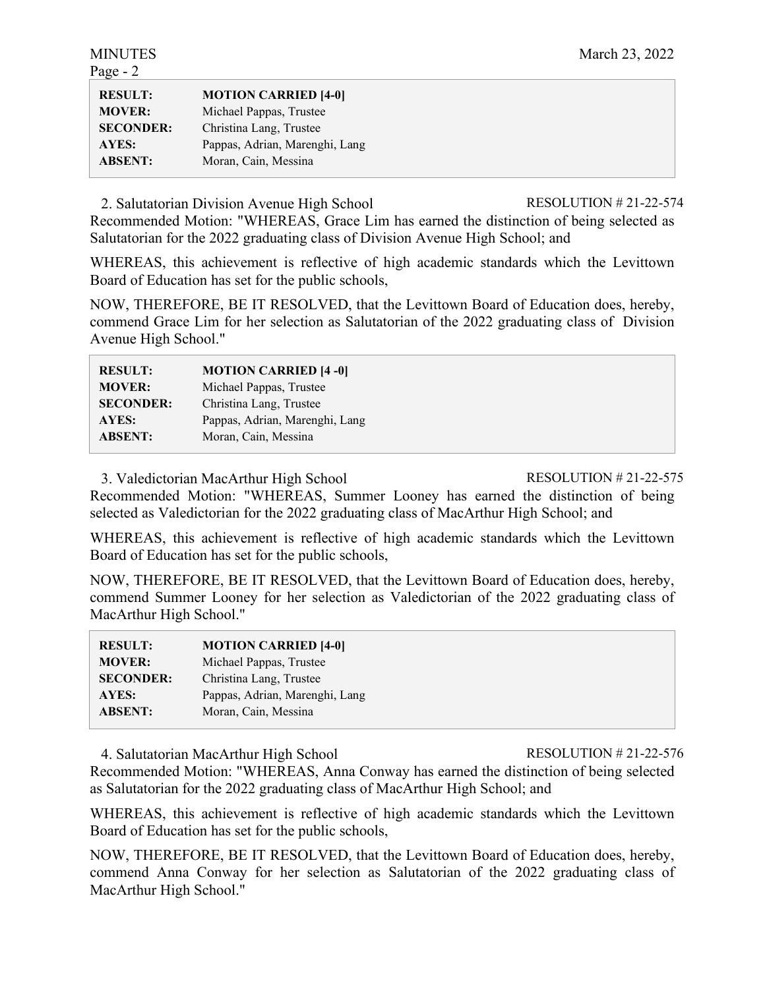| - - - -          |                                |
|------------------|--------------------------------|
| <b>RESULT:</b>   | <b>MOTION CARRIED [4-0]</b>    |
| <b>MOVER:</b>    | Michael Pappas, Trustee        |
| <b>SECONDER:</b> | Christina Lang, Trustee        |
| AYES:            | Pappas, Adrian, Marenghi, Lang |
| <b>ABSENT:</b>   | Moran, Cain, Messina           |
|                  |                                |

2. Salutatorian Division Avenue High School RESOLUTION # 21-22-574

Recommended Motion: "WHEREAS, Grace Lim has earned the distinction of being selected as Salutatorian for the 2022 graduating class of Division Avenue High School; and

WHEREAS, this achievement is reflective of high academic standards which the Levittown Board of Education has set for the public schools,

NOW, THEREFORE, BE IT RESOLVED, that the Levittown Board of Education does, hereby, commend Grace Lim for her selection as Salutatorian of the 2022 graduating class of Division Avenue High School."

| <b>MOTION CARRIED [4-0]</b>    |
|--------------------------------|
| Michael Pappas, Trustee        |
| Christina Lang, Trustee        |
| Pappas, Adrian, Marenghi, Lang |
| Moran, Cain, Messina           |
|                                |

3. Valedictorian MacArthur High School RESOLUTION # 21-22-575

Recommended Motion: "WHEREAS, Summer Looney has earned the distinction of being selected as Valedictorian for the 2022 graduating class of MacArthur High School; and

WHEREAS, this achievement is reflective of high academic standards which the Levittown Board of Education has set for the public schools,

NOW, THEREFORE, BE IT RESOLVED, that the Levittown Board of Education does, hereby, commend Summer Looney for her selection as Valedictorian of the 2022 graduating class of MacArthur High School."

| <b>RESULT:</b>   | <b>MOTION CARRIED [4-0]</b>    |
|------------------|--------------------------------|
| <b>MOVER:</b>    | Michael Pappas, Trustee        |
| <b>SECONDER:</b> | Christina Lang, Trustee        |
| AYES:            | Pappas, Adrian, Marenghi, Lang |
| <b>ABSENT:</b>   | Moran, Cain, Messina           |

4. Salutatorian MacArthur High School RESOLUTION # 21-22-576

Recommended Motion: "WHEREAS, Anna Conway has earned the distinction of being selected as Salutatorian for the 2022 graduating class of MacArthur High School; and

WHEREAS, this achievement is reflective of high academic standards which the Levittown Board of Education has set for the public schools,

NOW, THEREFORE, BE IT RESOLVED, that the Levittown Board of Education does, hereby, commend Anna Conway for her selection as Salutatorian of the 2022 graduating class of MacArthur High School."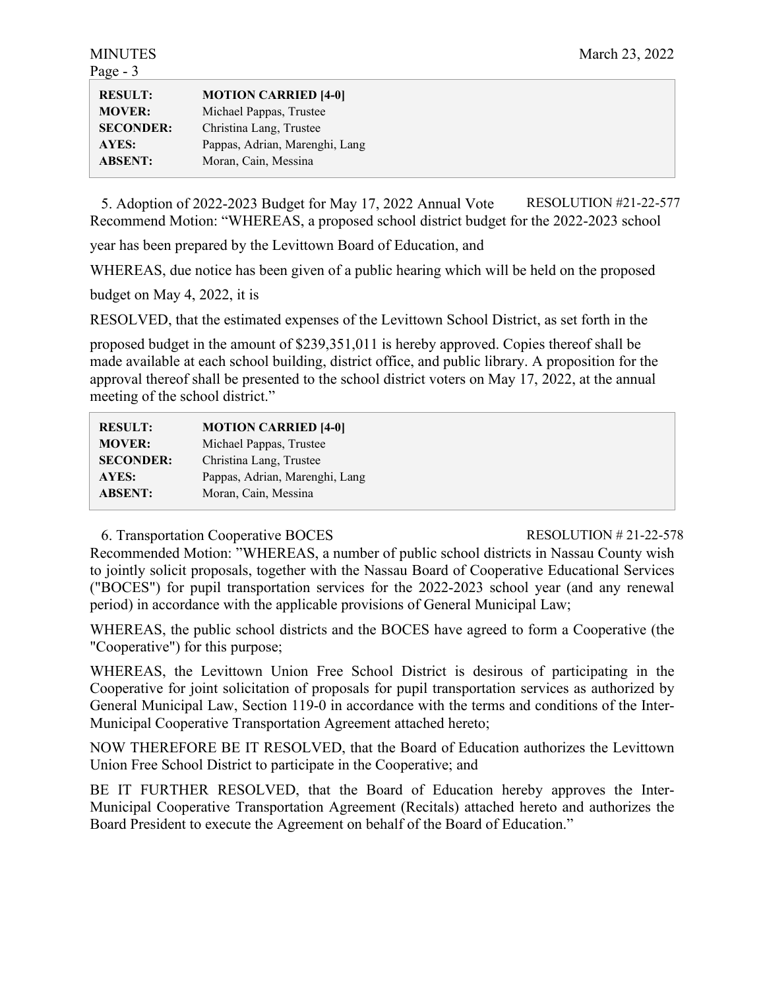| <b>RESULT:</b>   | <b>MOTION CARRIED [4-0]</b>    |
|------------------|--------------------------------|
| <b>MOVER:</b>    | Michael Pappas, Trustee        |
| <b>SECONDER:</b> | Christina Lang, Trustee        |
| AYES:            | Pappas, Adrian, Marenghi, Lang |
| <b>ABSENT:</b>   | Moran, Cain, Messina           |

5. Adoption of 2022-2023 Budget for May 17, 2022 Annual Vote RESOLUTION #21-22-577 Recommend Motion: "WHEREAS, a proposed school district budget for the 2022-2023 school

year has been prepared by the Levittown Board of Education, and

WHEREAS, due notice has been given of a public hearing which will be held on the proposed

budget on May 4, 2022, it is

RESOLVED, that the estimated expenses of the Levittown School District, as set forth in the

proposed budget in the amount of \$239,351,011 is hereby approved. Copies thereof shall be made available at each school building, district office, and public library. A proposition for the approval thereof shall be presented to the school district voters on May 17, 2022, at the annual meeting of the school district."

| <b>RESULT:</b>   | <b>MOTION CARRIED [4-0]</b>    |
|------------------|--------------------------------|
| <b>MOVER:</b>    | Michael Pappas, Trustee        |
| <b>SECONDER:</b> | Christina Lang, Trustee        |
| AYES:            | Pappas, Adrian, Marenghi, Lang |
| <b>ABSENT:</b>   | Moran, Cain, Messina           |

6. Transportation Cooperative BOCES RESOLUTION # 21-22-578

Recommended Motion: "WHEREAS, a number of public school districts in Nassau County wish to jointly solicit proposals, together with the Nassau Board of Cooperative Educational Services ("BOCES") for pupil transportation services for the 2022-2023 school year (and any renewal period) in accordance with the applicable provisions of General Municipal Law;

WHEREAS, the public school districts and the BOCES have agreed to form a Cooperative (the "Cooperative") for this purpose;

WHEREAS, the Levittown Union Free School District is desirous of participating in the Cooperative for joint solicitation of proposals for pupil transportation services as authorized by General Municipal Law, Section 119-0 in accordance with the terms and conditions of the Inter-Municipal Cooperative Transportation Agreement attached hereto;

NOW THEREFORE BE IT RESOLVED, that the Board of Education authorizes the Levittown Union Free School District to participate in the Cooperative; and

BE IT FURTHER RESOLVED, that the Board of Education hereby approves the Inter-Municipal Cooperative Transportation Agreement (Recitals) attached hereto and authorizes the Board President to execute the Agreement on behalf of the Board of Education."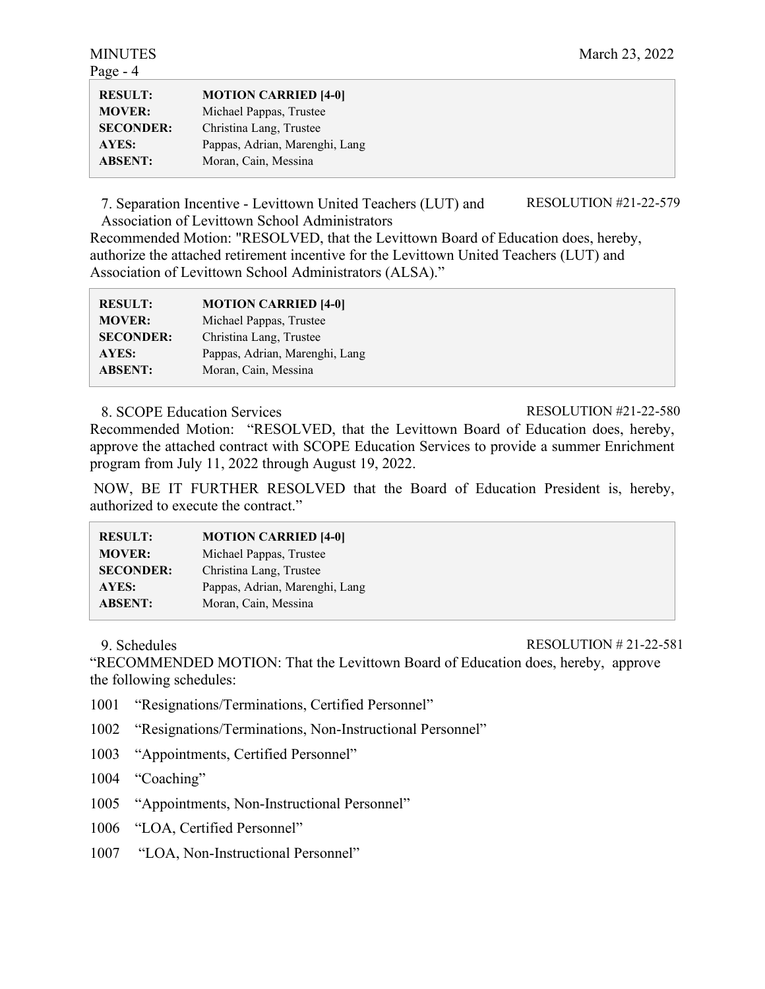| <b>RESULT:</b><br><b>MOVER:</b> | <b>MOTION CARRIED [4-0]</b><br>Michael Pappas, Trustee |
|---------------------------------|--------------------------------------------------------|
| <b>SECONDER:</b>                | Christina Lang, Trustee                                |
| AYES:                           | Pappas, Adrian, Marenghi, Lang                         |
| <b>ABSENT:</b>                  | Moran, Cain, Messina                                   |

7. Separation Incentive - Levittown United Teachers (LUT) and Association of Levittown School Administrators

RESOLUTION #21-22-579

Recommended Motion: "RESOLVED, that the Levittown Board of Education does, hereby, authorize the attached retirement incentive for the Levittown United Teachers (LUT) and Association of Levittown School Administrators (ALSA)."

| <b>RESULT:</b>   | <b>MOTION CARRIED [4-0]</b>    |
|------------------|--------------------------------|
| <b>MOVER:</b>    | Michael Pappas, Trustee        |
| <b>SECONDER:</b> | Christina Lang, Trustee        |
| AYES:            | Pappas, Adrian, Marenghi, Lang |
| <b>ABSENT:</b>   | Moran, Cain, Messina           |

## 8. SCOPE Education Services RESOLUTION #21-22-580

Recommended Motion: "RESOLVED, that the Levittown Board of Education does, hereby, approve the attached contract with SCOPE Education Services to provide a summer Enrichment program from July 11, 2022 through August 19, 2022.

NOW, BE IT FURTHER RESOLVED that the Board of Education President is, hereby, authorized to execute the contract."

| <b>MOTION CARRIED [4-0]</b>    |
|--------------------------------|
| Michael Pappas, Trustee        |
| Christina Lang, Trustee        |
| Pappas, Adrian, Marenghi, Lang |
| Moran, Cain, Messina           |
|                                |

9. Schedules RESOLUTION # 21-22-581

"RECOMMENDED MOTION: That the Levittown Board of Education does, hereby, approve the following schedules:

- 1001 "Resignations/Terminations, Certified Personnel"
- 1002 "Resignations/Terminations, Non-Instructional Personnel"
- 1003 "Appointments, Certified Personnel"

1004 "Coaching"

1005 "Appointments, Non-Instructional Personnel"

1006 "LOA, Certified Personnel"

1007 "LOA, Non-Instructional Personnel"